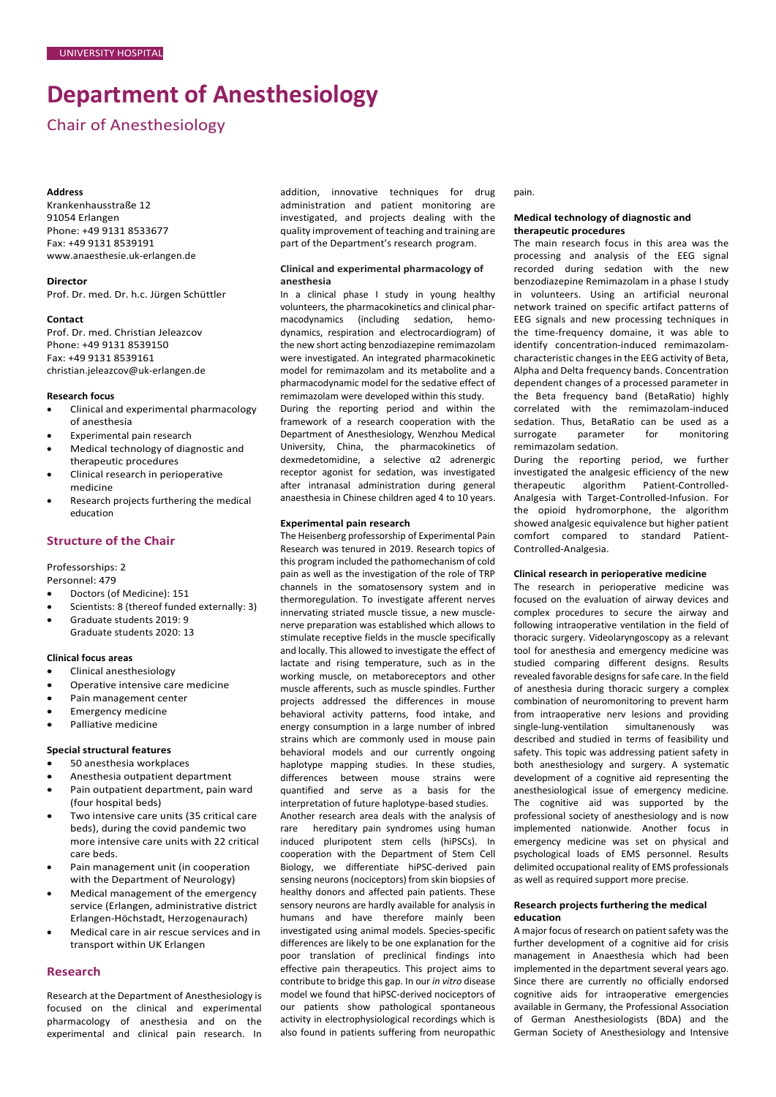# **Department of Anesthesiology**

# Chair of Anesthesiology

#### **Address**

Krankenhausstraße 12 91054 Erlangen Phone: +49 9131 8533677 Fax: +49 9131 8539191 [www.anaesthesie.uk-erlangen.de](http://www.anaesthesie.uk-erlangen.de/)

#### **Director**

Prof. Dr. med. Dr. h.c. Jürgen Schüttler

#### **Contact**

Prof. Dr. med. Christian Jeleazcov Phone: +49 9131 8539150 Fax: +49 9131 8539161 [christian.jeleazcov@uk-erlangen.de](mailto:christian.jeleazcov@uk-erlangen.de)

#### **Research focus**

- Clinical and experimental pharmacology of anesthesia
- Experimental pain research
- Medical technology of diagnostic and therapeutic procedures
- Clinical research in perioperative medicine
- Research projects furthering the medical education

# **Structure of the Chair**

### Professorships: 2

Personnel: 479

- Doctors (of Medicine): 151
- Scientists: 8 (thereof funded externally: 3)
- Graduate students 2019: 9 Graduate students 2020: 13

### **Clinical focus areas**

- Clinical anesthesiology
- Operative intensive care medicine
- Pain management center
- Emergency medicine
- Palliative medicine

## **Special structural features**

- 50 anesthesia workplaces
- Anesthesia outpatient department
- Pain outpatient department, pain ward (four hospital beds)
- Two intensive care units (35 critical care beds), during the covid pandemic two more intensive care units with 22 critical care beds.
- Pain management unit (in cooperation with the Department of Neurology)
- Medical management of the emergency service (Erlangen, administrative district Erlangen-Höchstadt, Herzogenaurach)
- Medical care in air rescue services and in transport within UK Erlangen

### **Research**

Research at the Department of Anesthesiology is focused on the clinical and experimental pharmacology of anesthesia and on the experimental and clinical pain research. In addition, innovative techniques for drug administration and patient monitoring are investigated, and projects dealing with the quality improvement of teaching and training are part of the Department's research program.

# **Clinical and experimental pharmacology of anesthesia**

In a clinical phase I study in young healthy volunteers, the pharmacokinetics and clinical pharmacodynamics (including sedation, hemodynamics, respiration and electrocardiogram) of the new short acting benzodiazepine remimazolam were investigated. An integrated pharmacokinetic model for remimazolam and its metabolite and a pharmacodynamic model for the sedative effect of remimazolam were developed within this study.

During the reporting period and within the framework of a research cooperation with the Department of Anesthesiology, Wenzhou Medical University, China, the pharmacokinetics of dexmedetomidine, a selective α2 adrenergic receptor agonist for sedation, was investigated after intranasal administration during general anaesthesia in Chinese children aged 4 to 10 years.

## **Experimental pain research**

The Heisenberg professorship of Experimental Pain Research was tenured in 2019. Research topics of this program included the pathomechanism of cold pain as well as the investigation of the role of TRP channels in the somatosensory system and in thermoregulation. To investigate afferent nerves innervating striated muscle tissue, a new musclenerve preparation was established which allows to stimulate receptive fields in the muscle specifically and locally. This allowed to investigate the effect of lactate and rising temperature, such as in the working muscle, on metaboreceptors and other muscle afferents, such as muscle spindles. Further projects addressed the differences in mouse behavioral activity patterns, food intake, and energy consumption in a large number of inbred strains which are commonly used in mouse pain behavioral models and our currently ongoing haplotype mapping studies. In these studies, differences between mouse strains were quantified and serve as a basis for the interpretation of future haplotype-based studies. Another research area deals with the analysis of rare hereditary pain syndromes using human induced pluripotent stem cells (hiPSCs). In cooperation with the Department of Stem Cell Biology, we differentiate hiPSC-derived pain sensing neurons (nociceptors) from skin biopsies of healthy donors and affected pain patients. These sensory neurons are hardly available for analysis in humans and have therefore mainly been investigated using animal models. Species-specific differences are likely to be one explanation for the poor translation of preclinical findings into effective pain therapeutics. This project aims to contribute to bridge this gap. In our *in vitro* disease model we found that hiPSC-derived nociceptors of our patients show pathological spontaneous activity in electrophysiological recordings which is also found in patients suffering from neuropathic

pain.

#### **Medical technology of diagnostic and therapeutic procedures**

The main research focus in this area was the processing and analysis of the EEG signal recorded during sedation with the new benzodiazepine Remimazolam in a phase I study in volunteers. Using an artificial neuronal network trained on specific artifact patterns of EEG signals and new processing techniques in the time-frequency domaine, it was able to identify concentration-induced remimazolamcharacteristic changes in the EEG activity of Beta, Alpha and Delta frequency bands. Concentration dependent changes of a processed parameter in the Beta frequency band (BetaRatio) highly correlated with the remimazolam-induced sedation. Thus, BetaRatio can be used as a surrogate parameter for monitoring remimazolam sedation.

During the reporting period, we further investigated the analgesic efficiency of the new therapeutic algorithm Patient-Controlled-Analgesia with Target-Controlled-Infusion. For the opioid hydromorphone, the algorithm showed analgesic equivalence but higher patient comfort compared to standard Patient-Controlled-Analgesia.

#### **Clinical research in perioperative medicine**

The research in perioperative medicine was focused on the evaluation of airway devices and complex procedures to secure the airway and following intraoperative ventilation in the field of thoracic surgery. Videolaryngoscopy as a relevant tool for anesthesia and emergency medicine was studied comparing different designs. Results revealed favorable designs for safe care. In the field of anesthesia during thoracic surgery a complex combination of neuromonitoring to prevent harm from intraoperative nerv lesions and providing single-lung-ventilation simultanenously was described and studied in terms of feasibility und safety. This topic was addressing patient safety in both anesthesiology and surgery. A systematic development of a cognitive aid representing the anesthesiological issue of emergency medicine. The cognitive aid was supported by the professional society of anesthesiology and is now implemented nationwide. Another focus in emergency medicine was set on physical and psychological loads of EMS personnel. Results delimited occupational reality of EMS professionals as well as required support more precise.

## **Research projects furthering the medical education**

A major focus of research on patient safety was the further development of a cognitive aid for crisis management in Anaesthesia which had been implemented in the department several years ago. Since there are currently no officially endorsed cognitive aids for intraoperative emergencies available in Germany, the Professional Association of German Anesthesiologists (BDA) and the German Society of Anesthesiology and Intensive